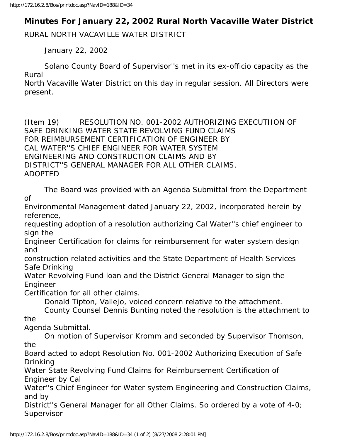## **Minutes For January 22, 2002 Rural North Vacaville Water District**

RURAL NORTH VACAVILLE WATER DISTRICT

January 22, 2002

 Solano County Board of Supervisor''s met in its ex-officio capacity as the Rural

North Vacaville Water District on this day in regular session. All Directors were present.

(Item 19) RESOLUTION NO. 001-2002 AUTHORIZING EXECUTIION OF SAFE DRINKING WATER STATE REVOLVING FUND CLAIMS FOR REIMBURSEMENT CERTIFICATION OF ENGINEER BY CAL WATER''S CHIEF ENGINEER FOR WATER SYSTEM ENGINEERING AND CONSTRUCTION CLAIMS AND BY DISTRICT''S GENERAL MANAGER FOR ALL OTHER CLAIMS, ADOPTED

 The Board was provided with an Agenda Submittal from the Department of

Environmental Management dated January 22, 2002, incorporated herein by reference,

requesting adoption of a resolution authorizing Cal Water''s chief engineer to sign the

Engineer Certification for claims for reimbursement for water system design and

construction related activities and the State Department of Health Services Safe Drinking

Water Revolving Fund loan and the District General Manager to sign the Engineer

Certification for all other claims.

Donald Tipton, Vallejo, voiced concern relative to the attachment.

 County Counsel Dennis Bunting noted the resolution is the attachment to the

Agenda Submittal.

 On motion of Supervisor Kromm and seconded by Supervisor Thomson, the

Board acted to adopt Resolution No. 001-2002 Authorizing Execution of Safe Drinking

Water State Revolving Fund Claims for Reimbursement Certification of Engineer by Cal

Water''s Chief Engineer for Water system Engineering and Construction Claims, and by

District''s General Manager for all Other Claims. So ordered by a vote of 4-0; Supervisor